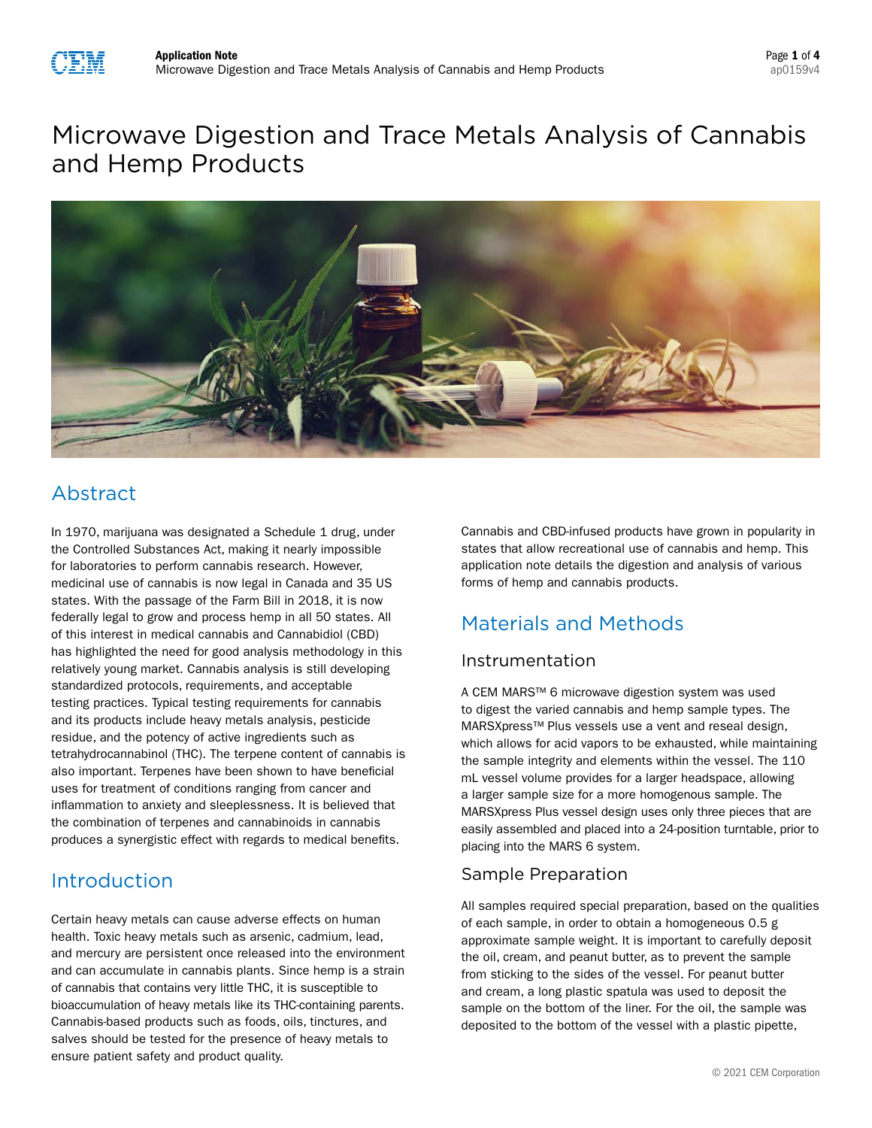

# Microwave Digestion and Trace Metals Analysis of Cannabis and Hemp Products



## Abstract

In 1970, marijuana was designated a Schedule 1 drug, under the Controlled Substances Act, making it nearly impossible for laboratories to perform cannabis research. However, medicinal use of cannabis is now legal in Canada and 35 US states. With the passage of the Farm Bill in 2018, it is now federally legal to grow and process hemp in all 50 states. All of this interest in medical cannabis and Cannabidiol (CBD) has highlighted the need for good analysis methodology in this relatively young market. Cannabis analysis is still developing standardized protocols, requirements, and acceptable testing practices. Typical testing requirements for cannabis and its products include heavy metals analysis, pesticide residue, and the potency of active ingredients such as tetrahydrocannabinol (THC). The terpene content of cannabis is also important. Terpenes have been shown to have beneficial uses for treatment of conditions ranging from cancer and inflammation to anxiety and sleeplessness. It is believed that the combination of terpenes and cannabinoids in cannabis produces a synergistic effect with regards to medical benefits.

### Introduction

Certain heavy metals can cause adverse effects on human health. Toxic heavy metals such as arsenic, cadmium, lead, and mercury are persistent once released into the environment and can accumulate in cannabis plants. Since hemp is a strain of cannabis that contains very little THC, it is susceptible to bioaccumulation of heavy metals like its THC-containing parents. Cannabis-based products such as foods, oils, tinctures, and salves should be tested for the presence of heavy metals to ensure patient safety and product quality.

Cannabis and CBD-infused products have grown in popularity in states that allow recreational use of cannabis and hemp. This application note details the digestion and analysis of various forms of hemp and cannabis products.

## Materials and Methods

### Instrumentation

A CEM MARS™ 6 microwave digestion system was used to digest the varied cannabis and hemp sample types. The MARSXpress™ Plus vessels use a vent and reseal design, which allows for acid vapors to be exhausted, while maintaining the sample integrity and elements within the vessel. The 110 mL vessel volume provides for a larger headspace, allowing a larger sample size for a more homogenous sample. The MARSXpress Plus vessel design uses only three pieces that are easily assembled and placed into a 24-position turntable, prior to placing into the MARS 6 system.

### Sample Preparation

All samples required special preparation, based on the qualities of each sample, in order to obtain a homogeneous 0.5 g approximate sample weight. It is important to carefully deposit the oil, cream, and peanut butter, as to prevent the sample from sticking to the sides of the vessel. For peanut butter and cream, a long plastic spatula was used to deposit the sample on the bottom of the liner. For the oil, the sample was deposited to the bottom of the vessel with a plastic pipette,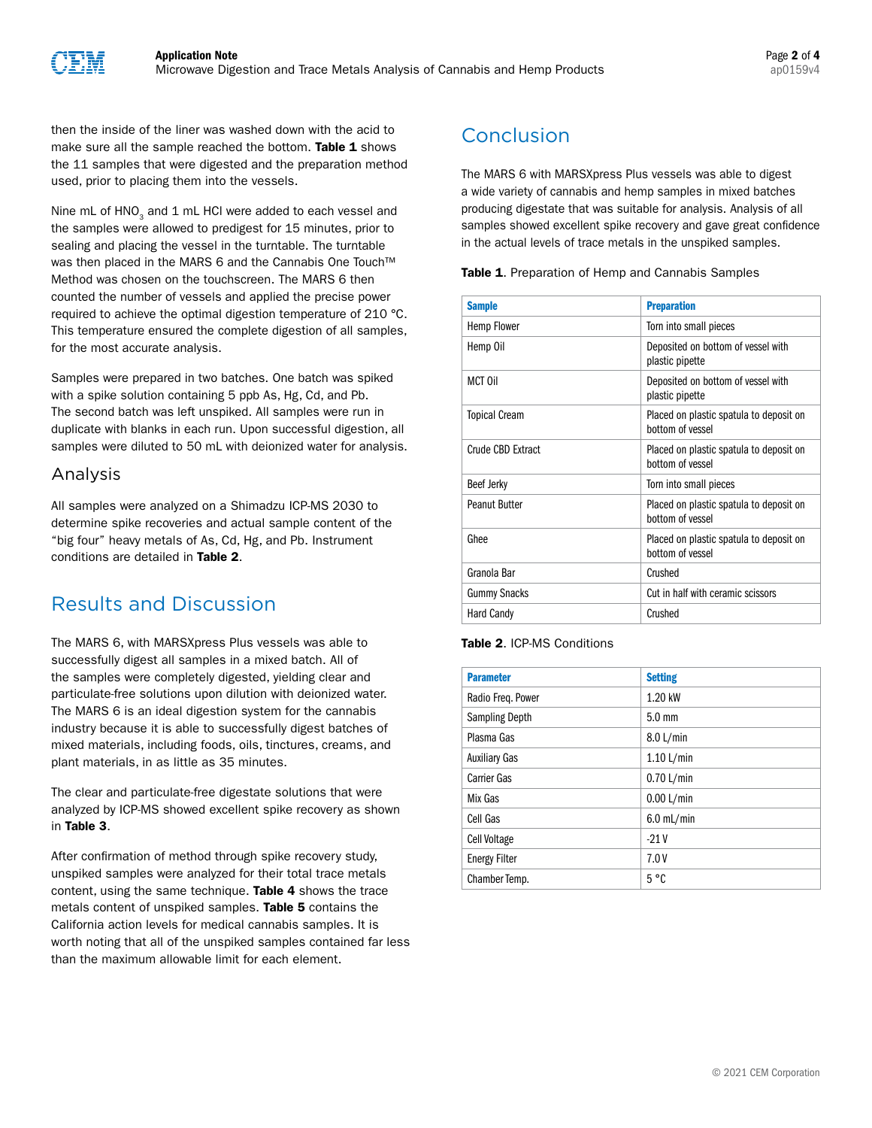then the inside of the liner was washed down with the acid to make sure all the sample reached the bottom. Table 1 shows the 11 samples that were digested and the preparation method used, prior to placing them into the vessels.

Nine mL of  $HNO<sub>3</sub>$  and 1 mL HCl were added to each vessel and the samples were allowed to predigest for 15 minutes, prior to sealing and placing the vessel in the turntable. The turntable was then placed in the MARS 6 and the Cannabis One Touch™ Method was chosen on the touchscreen. The MARS 6 then counted the number of vessels and applied the precise power required to achieve the optimal digestion temperature of 210 °C. This temperature ensured the complete digestion of all samples, for the most accurate analysis.

Samples were prepared in two batches. One batch was spiked with a spike solution containing 5 ppb As, Hg, Cd, and Pb. The second batch was left unspiked. All samples were run in duplicate with blanks in each run. Upon successful digestion, all samples were diluted to 50 mL with deionized water for analysis.

### Analysis

All samples were analyzed on a Shimadzu ICP-MS 2030 to determine spike recoveries and actual sample content of the "big four" heavy metals of As, Cd, Hg, and Pb. Instrument conditions are detailed in Table 2.

## Results and Discussion

The MARS 6, with MARSXpress Plus vessels was able to successfully digest all samples in a mixed batch. All of the samples were completely digested, yielding clear and particulate-free solutions upon dilution with deionized water. The MARS 6 is an ideal digestion system for the cannabis industry because it is able to successfully digest batches of mixed materials, including foods, oils, tinctures, creams, and plant materials, in as little as 35 minutes.

The clear and particulate-free digestate solutions that were analyzed by ICP-MS showed excellent spike recovery as shown in Table 3.

After confirmation of method through spike recovery study, unspiked samples were analyzed for their total trace metals content, using the same technique. Table 4 shows the trace metals content of unspiked samples. Table 5 contains the California action levels for medical cannabis samples. It is worth noting that all of the unspiked samples contained far less than the maximum allowable limit for each element.

## Conclusion

The MARS 6 with MARSXpress Plus vessels was able to digest a wide variety of cannabis and hemp samples in mixed batches producing digestate that was suitable for analysis. Analysis of all samples showed excellent spike recovery and gave great confidence in the actual levels of trace metals in the unspiked samples.

Table 1. Preparation of Hemp and Cannabis Samples

| <b>Sample</b>        | <b>Preparation</b>                                          |
|----------------------|-------------------------------------------------------------|
| Hemp Flower          | Torn into small pieces                                      |
| Hemp Oil             | Deposited on bottom of vessel with<br>plastic pipette       |
| MCT Oil              | Deposited on bottom of vessel with<br>plastic pipette       |
| <b>Topical Cream</b> | Placed on plastic spatula to deposit on<br>bottom of vessel |
| Crude CBD Extract    | Placed on plastic spatula to deposit on<br>bottom of vessel |
| <b>Beef Jerky</b>    | Torn into small pieces                                      |
| <b>Peanut Butter</b> | Placed on plastic spatula to deposit on<br>bottom of vessel |
| Ghee                 | Placed on plastic spatula to deposit on<br>bottom of vessel |
| Granola Bar          | Crushed                                                     |
| <b>Gummy Snacks</b>  | Cut in half with ceramic scissors                           |
| <b>Hard Candy</b>    | Crushed                                                     |

#### Table 2. ICP-MS Conditions

| <b>Parameter</b>      | <b>Setting</b>   |
|-----------------------|------------------|
| Radio Freg. Power     | 1.20 kW          |
| <b>Sampling Depth</b> | $5.0 \text{ mm}$ |
| Plasma Gas            | 8.0 L/min        |
| <b>Auxiliary Gas</b>  | $1.10$ L/min     |
| Carrier Gas           | $0.70$ L/min     |
| Mix Gas               | 0.00 L/min       |
| Cell Gas              | $6.0$ mL/min     |
| Cell Voltage          | $-21V$           |
| <b>Energy Filter</b>  | 7.0V             |
| Chamber Temp.         | 5 °C             |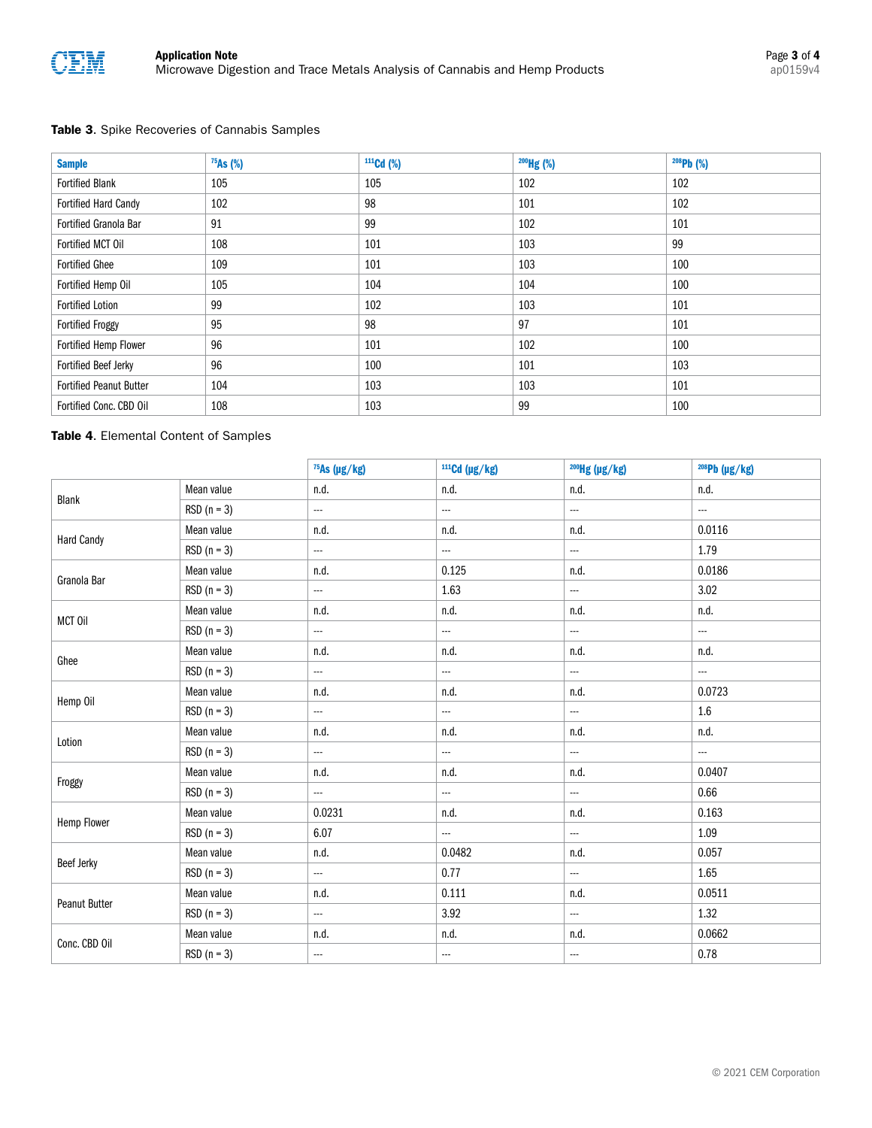

#### Table 3. Spike Recoveries of Cannabis Samples

| <b>Sample</b>                  | $75As$ (%) | $111 \text{Cd}$ (%) | $200$ Hg (%) | $208Pb$ (%) |
|--------------------------------|------------|---------------------|--------------|-------------|
| <b>Fortified Blank</b>         | 105        | 105                 | 102          | 102         |
| <b>Fortified Hard Candy</b>    | 102        | 98                  | 101          | 102         |
| <b>Fortified Granola Bar</b>   | 91         | 99                  | 102          | 101         |
| Fortified MCT Oil              | 108        | 101                 | 103          | 99          |
| <b>Fortified Ghee</b>          | 109        | 101                 | 103          | 100         |
| Fortified Hemp Oil             | 105        | 104                 | 104          | 100         |
| <b>Fortified Lotion</b>        | 99         | 102                 | 103          | 101         |
| <b>Fortified Froggy</b>        | 95         | 98                  | 97           | 101         |
| Fortified Hemp Flower          | 96         | 101                 | 102          | 100         |
| Fortified Beef Jerky           | 96         | 100                 | 101          | 103         |
| <b>Fortified Peanut Butter</b> | 104        | 103                 | 103          | 101         |
| Fortified Conc. CBD Oil        | 108        | 103                 | 99           | 100         |

#### Table 4. Elemental Content of Samples

|                   |               | 75As (µg/kg) | $111$ Cd (µg/kg) | <sup>200</sup> Hg (µg/kg) | $208Pb$ (µg/kg)          |
|-------------------|---------------|--------------|------------------|---------------------------|--------------------------|
| Blank             | Mean value    | n.d.         | n.d.             | n.d.                      | n.d.                     |
|                   | $RSD (n = 3)$ | ---          |                  | $\overline{\phantom{a}}$  | $\overline{\phantom{a}}$ |
| <b>Hard Candy</b> | Mean value    | n.d.         | n.d.             | n.d.                      | 0.0116                   |
|                   | $RSD (n = 3)$ | ---          |                  | ---                       | 1.79                     |
|                   | Mean value    | n.d.         | 0.125            | n.d.                      | 0.0186                   |
| Granola Bar       | $RSD (n = 3)$ | ---          | 1.63             | $\overline{\phantom{a}}$  | 3.02                     |
| MCT Oil           | Mean value    | n.d.         | n.d.             | n.d.                      | n.d.                     |
|                   | $RSD (n = 3)$ | ---          | ---              | $\sim$                    | ш.                       |
| Ghee              | Mean value    | n.d.         | n.d.             | n.d.                      | n.d.                     |
|                   | $RSD (n = 3)$ | ш.           | ---              | ---                       | ---                      |
| Hemp Oil          | Mean value    | n.d.         | n.d.             | n.d.                      | 0.0723                   |
|                   | $RSD (n = 3)$ | $\ldots$     | $\ldots$         |                           | $1.6\,$                  |
| Lotion            | Mean value    | n.d.         | n.d.             | n.d.                      | n.d.                     |
|                   | $RSD (n = 3)$ | $\cdots$     | $\cdots$         | ---                       |                          |
|                   | Mean value    | n.d.         | n.d.             | n.d.                      | 0.0407                   |
| Froggy            | $RSD (n = 3)$ | ---          | $\cdots$         | $\ldots$                  | 0.66                     |
|                   | Mean value    | 0.0231       | n.d.             | n.d.                      | 0.163                    |
| Hemp Flower       | $RSD (n = 3)$ | 6.07         | $\cdots$         | $\cdots$                  | 1.09                     |
| <b>Beef Jerky</b> | Mean value    | n.d.         | 0.0482           | n.d.                      | 0.057                    |
|                   | $RSD (n = 3)$ | $\cdots$     | 0.77             |                           | 1.65                     |
| Peanut Butter     | Mean value    | n.d.         | 0.111            | n.d.                      | 0.0511                   |
|                   | $RSD (n = 3)$ | $\cdots$     | 3.92             | $\cdots$                  | 1.32                     |
| Conc. CBD Oil     | Mean value    | n.d.         | n.d.             | n.d.                      | 0.0662                   |
|                   | $RSD (n = 3)$ | $\cdots$     |                  | ---                       | 0.78                     |